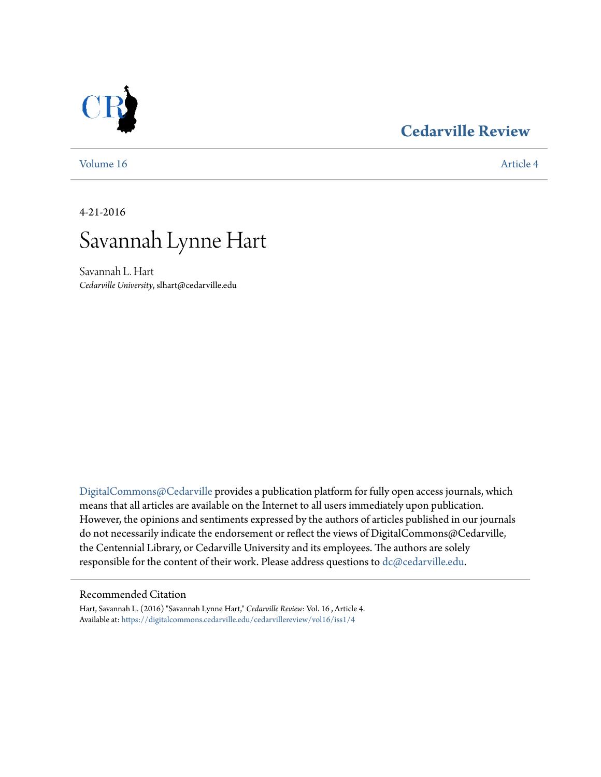### **[Cedarville Review](https://digitalcommons.cedarville.edu/cedarvillereview?utm_source=digitalcommons.cedarville.edu%2Fcedarvillereview%2Fvol16%2Fiss1%2F4&utm_medium=PDF&utm_campaign=PDFCoverPages)**



[Volume 16](https://digitalcommons.cedarville.edu/cedarvillereview/vol16?utm_source=digitalcommons.cedarville.edu%2Fcedarvillereview%2Fvol16%2Fiss1%2F4&utm_medium=PDF&utm_campaign=PDFCoverPages) [Article 4](https://digitalcommons.cedarville.edu/cedarvillereview/vol16/iss1/4?utm_source=digitalcommons.cedarville.edu%2Fcedarvillereview%2Fvol16%2Fiss1%2F4&utm_medium=PDF&utm_campaign=PDFCoverPages)

4-21-2016



Savannah L. Hart *Cedarville University*, slhart@cedarville.edu

[DigitalCommons@Cedarville](http://digitalcommons.cedarville.edu) provides a publication platform for fully open access journals, which means that all articles are available on the Internet to all users immediately upon publication. However, the opinions and sentiments expressed by the authors of articles published in our journals do not necessarily indicate the endorsement or reflect the views of DigitalCommons@Cedarville, the Centennial Library, or Cedarville University and its employees. The authors are solely responsible for the content of their work. Please address questions to [dc@cedarville.edu](mailto:dc@cedarville.edu).

#### Recommended Citation

Hart, Savannah L. (2016) "Savannah Lynne Hart," *Cedarville Review*: Vol. 16 , Article 4. Available at: [https://digitalcommons.cedarville.edu/cedarvillereview/vol16/iss1/4](https://digitalcommons.cedarville.edu/cedarvillereview/vol16/iss1/4?utm_source=digitalcommons.cedarville.edu%2Fcedarvillereview%2Fvol16%2Fiss1%2F4&utm_medium=PDF&utm_campaign=PDFCoverPages)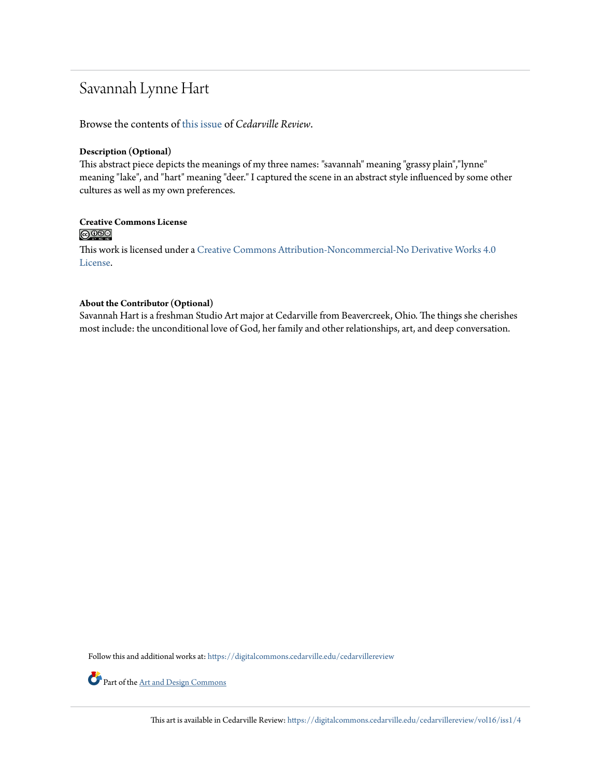## Savannah Lynne Hart

Browse the contents of [this issue](https://digitalcommons.cedarville.edu/cedarvillereview/vol16/iss1) of *Cedarville Review*.

#### **Description (Optional)**

This abstract piece depicts the meanings of my three names: "savannah" meaning "grassy plain","lynne" meaning "lake", and "hart" meaning "deer." I captured the scene in an abstract style influenced by some other cultures as well as my own preferences.

# **Creative Commons License**<br> **C** 080

This work is licensed under a [Creative Commons Attribution-Noncommercial-No Derivative Works 4.0](http://creativecommons.org/licenses/by-nc-nd/4.0/) [License.](http://creativecommons.org/licenses/by-nc-nd/4.0/)

#### **About the Contributor (Optional)**

Savannah Hart is a freshman Studio Art major at Cedarville from Beavercreek, Ohio. The things she cherishes most include: the unconditional love of God, her family and other relationships, art, and deep conversation.

Follow this and additional works at: [https://digitalcommons.cedarville.edu/cedarvillereview](https://digitalcommons.cedarville.edu/cedarvillereview?utm_source=digitalcommons.cedarville.edu%2Fcedarvillereview%2Fvol16%2Fiss1%2F4&utm_medium=PDF&utm_campaign=PDFCoverPages)



Part of the <u>[Art and Design Commons](http://network.bepress.com/hgg/discipline/1049?utm_source=digitalcommons.cedarville.edu%2Fcedarvillereview%2Fvol16%2Fiss1%2F4&utm_medium=PDF&utm_campaign=PDFCoverPages)</u>